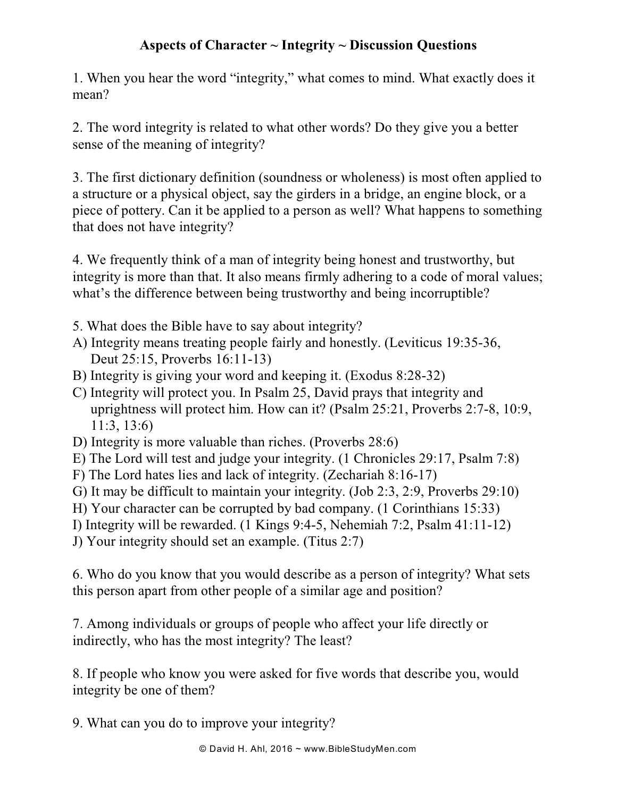# **Aspects of Character ~ Integrity ~ Discussion Questions**

1. When you hear the word "integrity," what comes to mind. What exactly does it mean?

2. The word integrity is related to what other words? Do they give you a better sense of the meaning of integrity?

3. The first dictionary definition (soundness or wholeness) is most often applied to a structure or a physical object, say the girders in a bridge, an engine block, or a piece of pottery. Can it be applied to a person as well? What happens to something that does not have integrity?

4. We frequently think of a man of integrity being honest and trustworthy, but integrity is more than that. It also means firmly adhering to a code of moral values; what's the difference between being trustworthy and being incorruptible?

- 5. What does the Bible have to say about integrity?
- A) Integrity means treating people fairly and honestly. (Leviticus 19:35-36, Deut 25:15, Proverbs 16:11-13)
- B) Integrity is giving your word and keeping it. (Exodus 8:28-32)
- C) Integrity will protect you. In Psalm 25, David prays that integrity and uprightness will protect him. How can it? (Psalm 25:21, Proverbs 2:7-8, 10:9, 11:3, 13:6)
- D) Integrity is more valuable than riches. (Proverbs 28:6)
- E) The Lord will test and judge your integrity. (1 Chronicles 29:17, Psalm 7:8)
- F) The Lord hates lies and lack of integrity. (Zechariah 8:16-17)
- G) It may be difficult to maintain your integrity. (Job 2:3, 2:9, Proverbs 29:10)
- H) Your character can be corrupted by bad company. (1 Corinthians 15:33)
- I) Integrity will be rewarded. (1 Kings 9:4-5, Nehemiah 7:2, Psalm 41:11-12)
- J) Your integrity should set an example. (Titus 2:7)

6. Who do you know that you would describe as a person of integrity? What sets this person apart from other people of a similar age and position?

7. Among individuals or groups of people who affect your life directly or indirectly, who has the most integrity? The least?

8. If people who know you were asked for five words that describe you, would integrity be one of them?

9. What can you do to improve your integrity?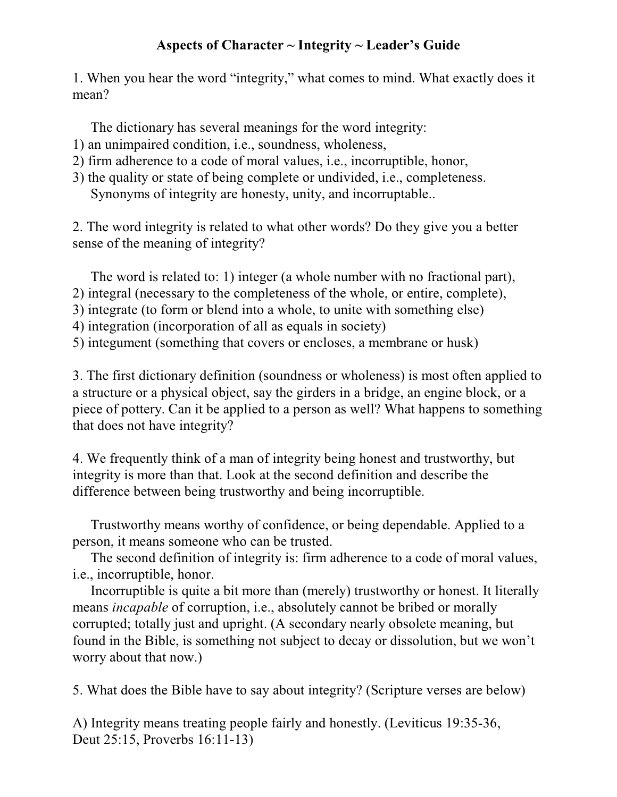## **Aspects of Character ~ Integrity ~ Leader's Guide**

1. When you hear the word "integrity," what comes to mind. What exactly does it mean?

The dictionary has several meanings for the word integrity:

- 1) an unimpaired condition, i.e., soundness, wholeness,
- 2) firm adherence to a code of moral values, i.e., incorruptible, honor,
- 3) the quality or state of being complete or undivided, i.e., completeness. Synonyms of integrity are honesty, unity, and incorruptable..

2. The word integrity is related to what other words? Do they give you a better sense of the meaning of integrity?

The word is related to: 1) integer (a whole number with no fractional part),

- 2) integral (necessary to the completeness of the whole, or entire, complete),
- 3) integrate (to form or blend into a whole, to unite with something else)
- 4) integration (incorporation of all as equals in society)
- 5) integument (something that covers or encloses, a membrane or husk)

3. The first dictionary definition (soundness or wholeness) is most often applied to a structure or a physical object, say the girders in a bridge, an engine block, or a piece of pottery. Can it be applied to a person as well? What happens to something that does not have integrity?

4. We frequently think of a man of integrity being honest and trustworthy, but integrity is more than that. Look at the second definition and describe the difference between being trustworthy and being incorruptible.

Trustworthy means worthy of confidence, or being dependable. Applied to a person, it means someone who can be trusted.

The second definition of integrity is: firm adherence to a code of moral values, i.e., incorruptible, honor.

Incorruptible is quite a bit more than (merely) trustworthy or honest. It literally means *incapable* of corruption, i.e., absolutely cannot be bribed or morally corrupted; totally just and upright. (A secondary nearly obsolete meaning, but found in the Bible, is something not subject to decay or dissolution, but we won't worry about that now.)

5. What does the Bible have to say about integrity? (Scripture verses are below)

A) Integrity means treating people fairly and honestly. (Leviticus 19:35-36, Deut 25:15, Proverbs 16:11-13)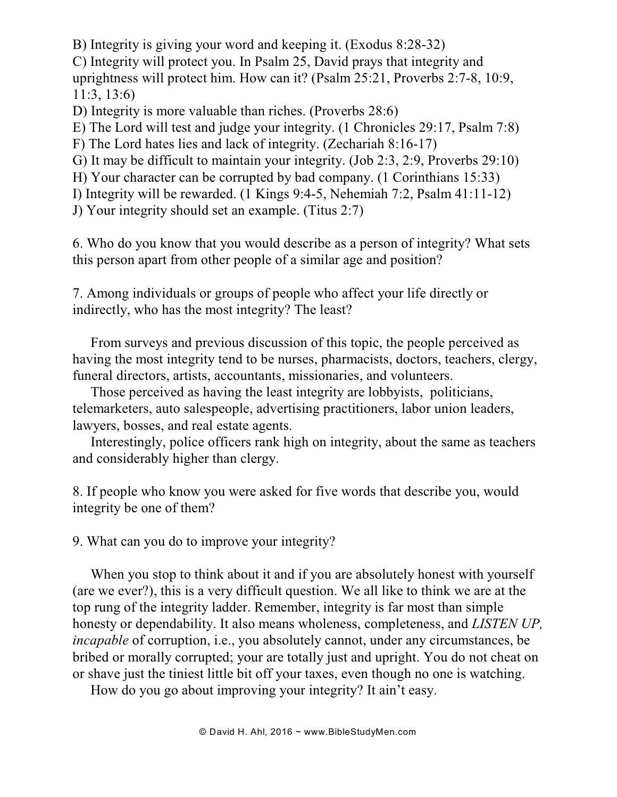B) Integrity is giving your word and keeping it. (Exodus 8:28-32) C) Integrity will protect you. In Psalm 25, David prays that integrity and uprightness will protect him. How can it? (Psalm 25:21, Proverbs 2:7-8, 10:9, 11:3, 13:6)

D) Integrity is more valuable than riches. (Proverbs 28:6)

E) The Lord will test and judge your integrity. (1 Chronicles 29:17, Psalm 7:8)

F) The Lord hates lies and lack of integrity. (Zechariah 8:16-17)

G) It may be difficult to maintain your integrity. (Job 2:3, 2:9, Proverbs 29:10)

H) Your character can be corrupted by bad company. (1 Corinthians 15:33)

I) Integrity will be rewarded. (1 Kings 9:4-5, Nehemiah 7:2, Psalm 41:11-12)

J) Your integrity should set an example. (Titus 2:7)

6. Who do you know that you would describe as a person of integrity? What sets this person apart from other people of a similar age and position?

7. Among individuals or groups of people who affect your life directly or indirectly, who has the most integrity? The least?

From surveys and previous discussion of this topic, the people perceived as having the most integrity tend to be nurses, pharmacists, doctors, teachers, clergy, funeral directors, artists, accountants, missionaries, and volunteers.

Those perceived as having the least integrity are lobbyists, politicians, telemarketers, auto salespeople, advertising practitioners, labor union leaders, lawyers, bosses, and real estate agents.

Interestingly, police officers rank high on integrity, about the same as teachers and considerably higher than clergy.

8. If people who know you were asked for five words that describe you, would integrity be one of them?

9. What can you do to improve your integrity?

When you stop to think about it and if you are absolutely honest with yourself (are we ever?), this is a very difficult question. We all like to think we are at the top rung of the integrity ladder. Remember, integrity is far most than simple honesty or dependability. It also means wholeness, completeness, and *LISTEN UP, incapable* of corruption, i.e., you absolutely cannot, under any circumstances, be bribed or morally corrupted; your are totally just and upright. You do not cheat on or shave just the tiniest little bit off your taxes, even though no one is watching.

How do you go about improving your integrity? It ain't easy.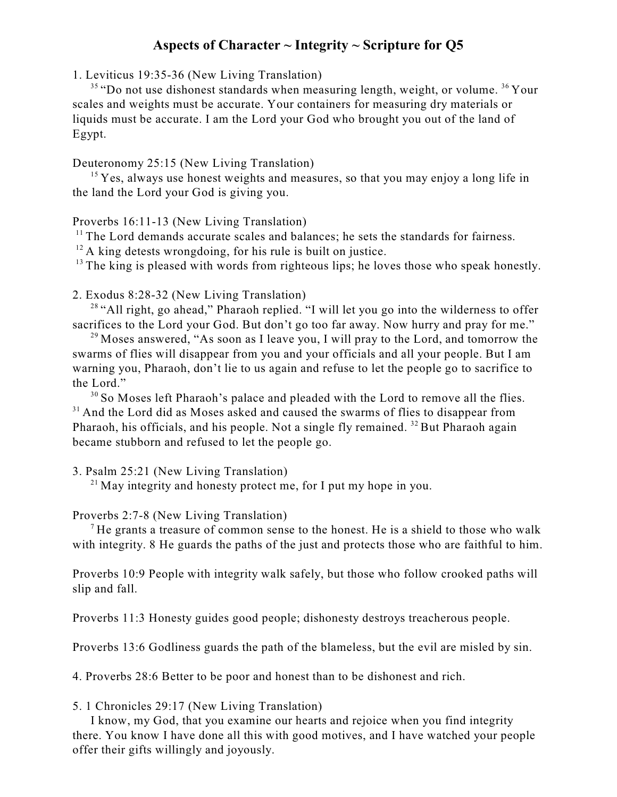### **Aspects of Character ~ Integrity ~ Scripture for Q5**

1. Leviticus 19:35-36 (New Living Translation)

 $35$  "Do not use dishonest standards when measuring length, weight, or volume.  $36$  Your scales and weights must be accurate. Your containers for measuring dry materials or liquids must be accurate. I am the Lord your God who brought you out of the land of Egypt.

Deuteronomy 25:15 (New Living Translation)

 $15$  Yes, always use honest weights and measures, so that you may enjoy a long life in the land the Lord your God is giving you.

Proverbs 16:11-13 (New Living Translation)

 $11$ <sup>11</sup> The Lord demands accurate scales and balances; he sets the standards for fairness.

 $12$  A king detests wrongdoing, for his rule is built on justice.

 $13$  The king is pleased with words from righteous lips; he loves those who speak honestly.

2. Exodus 8:28-32 (New Living Translation)

<sup>28</sup> "All right, go ahead," Pharaoh replied. "I will let you go into the wilderness to offer sacrifices to the Lord your God. But don't go too far away. Now hurry and pray for me."

 $^{29}$  Moses answered, "As soon as I leave you, I will pray to the Lord, and tomorrow the swarms of flies will disappear from you and your officials and all your people. But I am warning you, Pharaoh, don't lie to us again and refuse to let the people go to sacrifice to the Lord."

 $30$  So Moses left Pharaoh's palace and pleaded with the Lord to remove all the flies.  $31$  And the Lord did as Moses asked and caused the swarms of flies to disappear from Pharaoh, his officials, and his people. Not a single fly remained.  $32$  But Pharaoh again became stubborn and refused to let the people go.

3. Psalm 25:21 (New Living Translation)

 $^{21}$  May integrity and honesty protect me, for I put my hope in you.

Proverbs 2:7-8 (New Living Translation)

 $\alpha$ <sup>7</sup> He grants a treasure of common sense to the honest. He is a shield to those who walk with integrity. 8 He guards the paths of the just and protects those who are faithful to him.

Proverbs 10:9 People with integrity walk safely, but those who follow crooked paths will slip and fall.

Proverbs 11:3 Honesty guides good people; dishonesty destroys treacherous people.

Proverbs 13:6 Godliness guards the path of the blameless, but the evil are misled by sin.

4. Proverbs 28:6 Better to be poor and honest than to be dishonest and rich.

5. 1 Chronicles 29:17 (New Living Translation)

I know, my God, that you examine our hearts and rejoice when you find integrity there. You know I have done all this with good motives, and I have watched your people offer their gifts willingly and joyously.